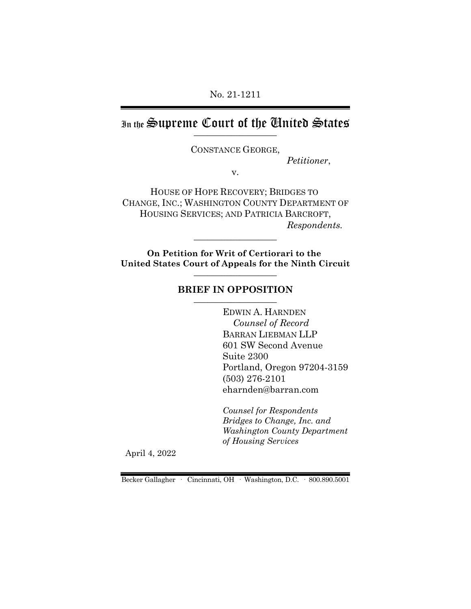No. 21-1211

In the Supreme Court of the Chuited States

CONSTANCE GEORGE,

*Petitioner*,

v.

HOUSE OF HOPE RECOVERY; BRIDGES TO CHANGE, INC.; WASHINGTON COUNTY DEPARTMENT OF HOUSING SERVICES; AND PATRICIA BARCROFT, *Respondents.*

**On Petition for Writ of Certiorari to the United States Court of Appeals for the Ninth Circuit** \_\_\_\_\_\_\_\_\_\_\_\_\_\_\_\_\_\_

 $\_$ 

### **BRIEF IN OPPOSITION**

EDWIN A. HARNDEN *Counsel of Record* BARRAN LIEBMAN LLP 601 SW Second Avenue Suite 2300 Portland, Oregon 97204-3159 (503) 276-2101 eharnden@barran.com

*Counsel for Respondents Bridges to Change, Inc. and Washington County Department of Housing Services*

April 4, 2022

Becker Gallagher · Cincinnati, OH · Washington, D.C. · 800.890.5001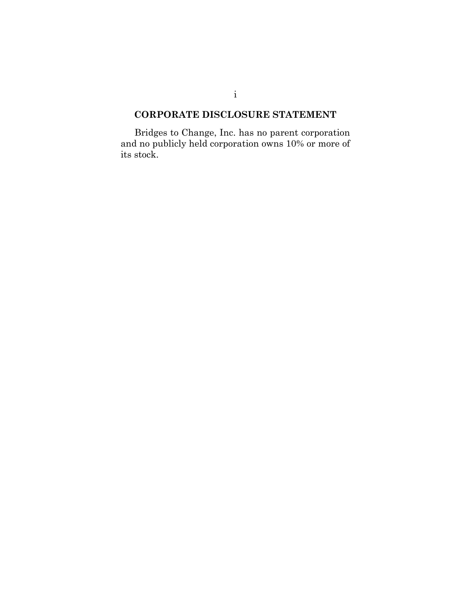# **CORPORATE DISCLOSURE STATEMENT**

Bridges to Change, Inc. has no parent corporation and no publicly held corporation owns 10% or more of its stock.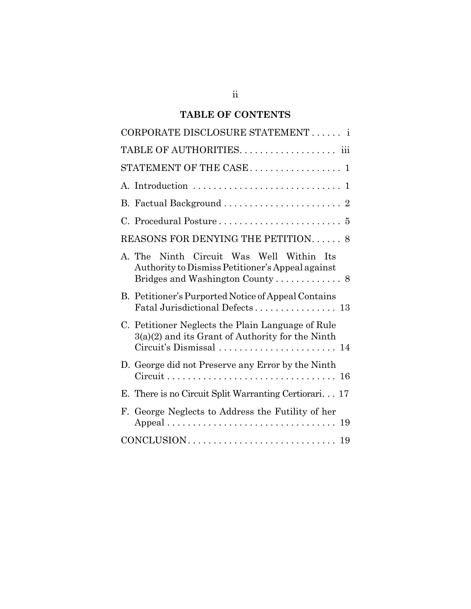# **TABLE OF CONTENTS**

| CORPORATE DISCLOSURE STATEMENT i                                                                        |
|---------------------------------------------------------------------------------------------------------|
| TABLE OF AUTHORITIES. iii                                                                               |
| STATEMENT OF THE CASE 1                                                                                 |
|                                                                                                         |
|                                                                                                         |
|                                                                                                         |
| REASONS FOR DENYING THE PETITION 8                                                                      |
| Ninth Circuit Was Well Within Its<br>A. The<br>Authority to Dismiss Petitioner's Appeal against         |
| B. Petitioner's Purported Notice of Appeal Contains<br>Fatal Jurisdictional Defects 13                  |
| C. Petitioner Neglects the Plain Language of Rule<br>$3(a)(2)$ and its Grant of Authority for the Ninth |
| D. George did not Preserve any Error by the Ninth                                                       |
| E. There is no Circuit Split Warranting Certiorari 17                                                   |
| F. George Neglects to Address the Futility of her                                                       |
|                                                                                                         |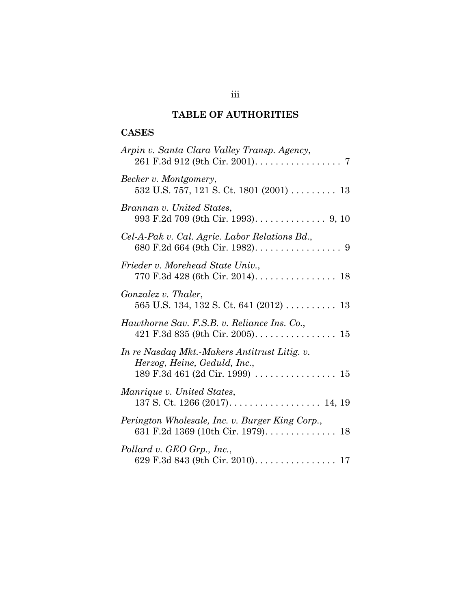# **TABLE OF AUTHORITIES**

# **CASES**

| Arpin v. Santa Clara Valley Transp. Agency,                                                                      |
|------------------------------------------------------------------------------------------------------------------|
| Becker v. Montgomery,<br>$532$ U.S. 757, 121 S. Ct. 1801 (2001) 13                                               |
| Brannan v. United States,<br>993 F.2d 709 (9th Cir. 1993). $\dots \dots \dots \dots$ 9, 10                       |
| Cel-A-Pak v. Cal. Agric. Labor Relations Bd.,<br>680 F.2d 664 (9th Cir. 1982). $\dots \dots \dots \dots \dots$ 9 |
| Frieder v. Morehead State Univ.,                                                                                 |
| Gonzalez v. Thaler,<br>565 U.S. 134, 132 S. Ct. 641 (2012) $\ldots$ 13                                           |
| Hawthorne Sav. F.S.B. v. Reliance Ins. Co.,                                                                      |
| In re Nasdaq Mkt.-Makers Antitrust Litig. v.<br>Herzog, Heine, Geduld, Inc.,                                     |
| Manrique v. United States,                                                                                       |
| Perington Wholesale, Inc. v. Burger King Corp.,                                                                  |
| Pollard v. GEO Grp., Inc.,<br>629 F.3d 843 (9th Cir. 2010). 17                                                   |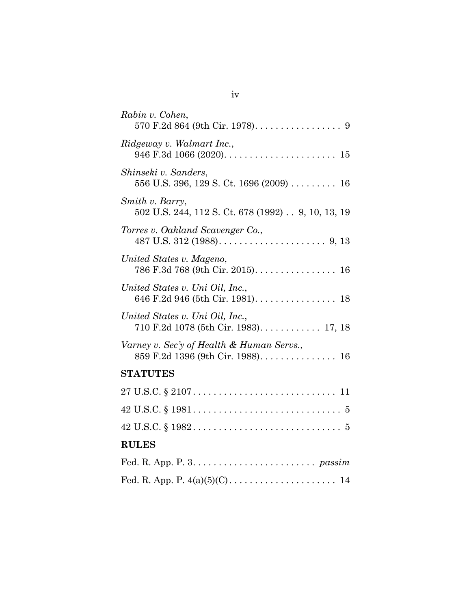| Rabin v. Cohen,                                                                |
|--------------------------------------------------------------------------------|
| Ridgeway v. Walmart Inc.,                                                      |
| Shinseki v. Sanders,<br>556 U.S. 396, 129 S. Ct. 1696 (2009) 16                |
| Smith v. Barry,<br>502 U.S. 244, 112 S. Ct. 678 (1992) 9, 10, 13, 19           |
| Torres v. Oakland Scavenger Co.,                                               |
| United States v. Mageno,<br>786 F.3d 768 (9th Cir. 2015). 16                   |
| United States v. Uni Oil, Inc.,<br>646 F.2d 946 (5th Cir. 1981). 18            |
| United States v. Uni Oil, Inc.,<br>710 F.2d 1078 (5th Cir. 1983). 17, 18       |
| Varney v. Sec'y of Health & Human Servs.,<br>859 F.2d 1396 (9th Cir. 1988). 16 |
| <b>STATUTES</b>                                                                |
|                                                                                |
|                                                                                |
|                                                                                |
| <b>RULES</b>                                                                   |
|                                                                                |
|                                                                                |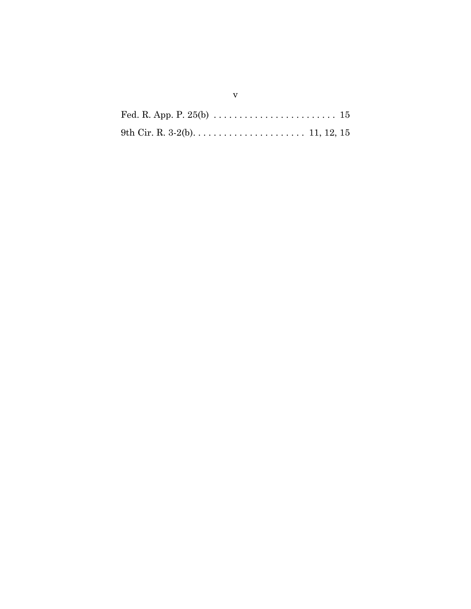| 9th Cir. R. 3-2(b). $\dots \dots \dots \dots \dots \dots \dots \dots \dots \dots 11, 12, 15$ |  |
|----------------------------------------------------------------------------------------------|--|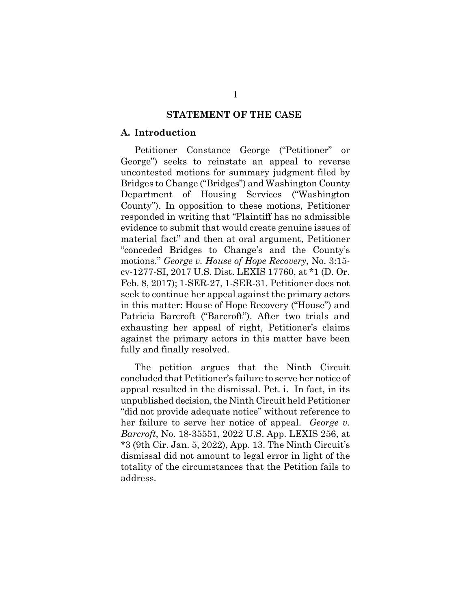#### **STATEMENT OF THE CASE**

#### **A. Introduction**

Petitioner Constance George ("Petitioner" or George") seeks to reinstate an appeal to reverse uncontested motions for summary judgment filed by Bridges to Change ("Bridges") and Washington County Department of Housing Services ("Washington County"). In opposition to these motions, Petitioner responded in writing that "Plaintiff has no admissible evidence to submit that would create genuine issues of material fact" and then at oral argument, Petitioner "conceded Bridges to Change's and the County's motions." *George v. House of Hope Recovery*, No. 3:15 cv-1277-SI, 2017 U.S. Dist. LEXIS 17760, at \*1 (D. Or. Feb. 8, 2017); 1-SER-27, 1-SER-31. Petitioner does not seek to continue her appeal against the primary actors in this matter: House of Hope Recovery ("House") and Patricia Barcroft ("Barcroft"). After two trials and exhausting her appeal of right, Petitioner's claims against the primary actors in this matter have been fully and finally resolved.

The petition argues that the Ninth Circuit concluded that Petitioner's failure to serve her notice of appeal resulted in the dismissal. Pet. i. In fact, in its unpublished decision, the Ninth Circuit held Petitioner "did not provide adequate notice" without reference to her failure to serve her notice of appeal. *George v. Barcroft*, No. 18-35551, 2022 U.S. App. LEXIS 256, at \*3 (9th Cir. Jan. 5, 2022), App. 13. The Ninth Circuit's dismissal did not amount to legal error in light of the totality of the circumstances that the Petition fails to address.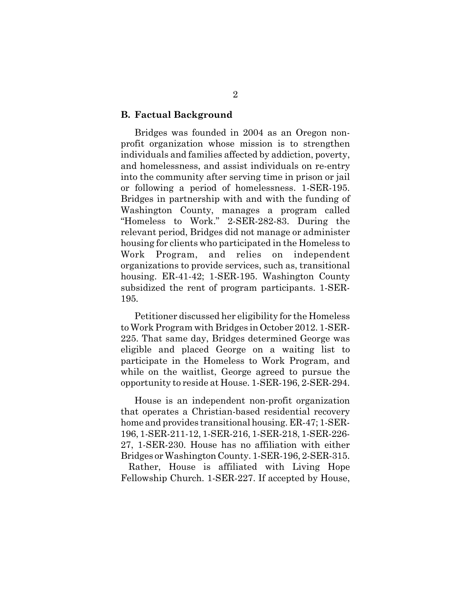#### **B. Factual Background**

Bridges was founded in 2004 as an Oregon nonprofit organization whose mission is to strengthen individuals and families affected by addiction, poverty, and homelessness, and assist individuals on re-entry into the community after serving time in prison or jail or following a period of homelessness. 1-SER-195. Bridges in partnership with and with the funding of Washington County, manages a program called "Homeless to Work." 2-SER-282-83. During the relevant period, Bridges did not manage or administer housing for clients who participated in the Homeless to Work Program, and relies on independent organizations to provide services, such as, transitional housing. ER-41-42; 1-SER-195. Washington County subsidized the rent of program participants. 1-SER-195*.*

Petitioner discussed her eligibility for the Homeless to Work Program with Bridges in October 2012. 1-SER-225. That same day, Bridges determined George was eligible and placed George on a waiting list to participate in the Homeless to Work Program, and while on the waitlist, George agreed to pursue the opportunity to reside at House. 1-SER-196, 2-SER-294.

House is an independent non-profit organization that operates a Christian-based residential recovery home and provides transitional housing. ER-47; 1-SER-196, 1-SER-211-12, 1-SER-216, 1-SER-218, 1-SER-226- 27, 1-SER-230. House has no affiliation with either Bridges or Washington County. 1-SER-196, 2-SER-315. Rather, House is affiliated with Living Hope Fellowship Church. 1-SER-227. If accepted by House,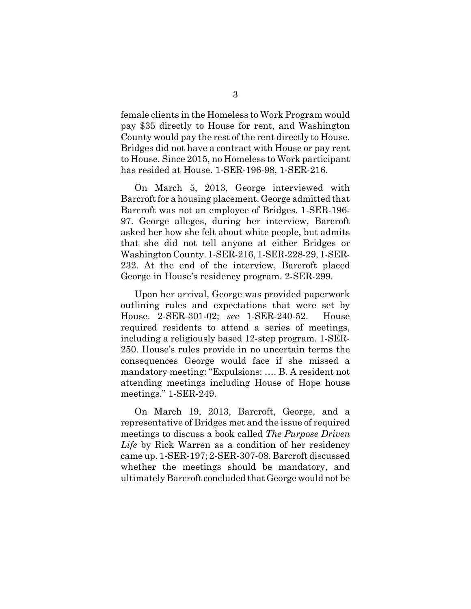female clients in the Homeless to Work Program would pay \$35 directly to House for rent, and Washington County would pay the rest of the rent directly to House. Bridges did not have a contract with House or pay rent to House. Since 2015, no Homeless to Work participant has resided at House. 1-SER-196-98, 1-SER-216.

On March 5, 2013, George interviewed with Barcroft for a housing placement. George admitted that Barcroft was not an employee of Bridges. 1-SER-196- 97. George alleges, during her interview, Barcroft asked her how she felt about white people, but admits that she did not tell anyone at either Bridges or Washington County. 1-SER-216, 1-SER-228-29, 1-SER-232. At the end of the interview, Barcroft placed George in House's residency program. 2-SER-299.

Upon her arrival, George was provided paperwork outlining rules and expectations that were set by House. 2-SER-301-02; *see* 1-SER-240-52. House required residents to attend a series of meetings, including a religiously based 12-step program. 1-SER-250. House's rules provide in no uncertain terms the consequences George would face if she missed a mandatory meeting: "Expulsions: …. B. A resident not attending meetings including House of Hope house meetings." 1-SER-249.

On March 19, 2013, Barcroft, George, and a representative of Bridges met and the issue of required meetings to discuss a book called *The Purpose Driven Life* by Rick Warren as a condition of her residency came up. 1-SER-197; 2-SER-307-08. Barcroft discussed whether the meetings should be mandatory, and ultimately Barcroft concluded that George would not be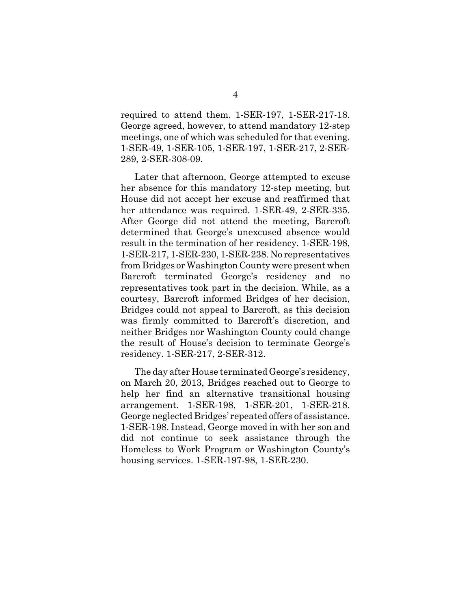required to attend them. 1-SER-197, 1-SER-217-18. George agreed, however, to attend mandatory 12-step meetings, one of which was scheduled for that evening. 1-SER-49, 1-SER-105, 1-SER-197, 1-SER-217, 2-SER-289, 2-SER-308-09.

Later that afternoon, George attempted to excuse her absence for this mandatory 12-step meeting, but House did not accept her excuse and reaffirmed that her attendance was required. 1-SER-49, 2-SER-335. After George did not attend the meeting, Barcroft determined that George's unexcused absence would result in the termination of her residency. 1-SER-198, 1-SER-217, 1-SER-230, 1-SER-238. No representatives from Bridges or Washington County were present when Barcroft terminated George's residency and no representatives took part in the decision. While, as a courtesy, Barcroft informed Bridges of her decision, Bridges could not appeal to Barcroft, as this decision was firmly committed to Barcroft's discretion, and neither Bridges nor Washington County could change the result of House's decision to terminate George's residency. 1-SER-217, 2-SER-312.

The day after House terminated George's residency, on March 20, 2013, Bridges reached out to George to help her find an alternative transitional housing arrangement. 1-SER-198, 1-SER-201, 1-SER-218. George neglected Bridges' repeated offers of assistance. 1-SER-198. Instead, George moved in with her son and did not continue to seek assistance through the Homeless to Work Program or Washington County's housing services. 1-SER-197-98, 1-SER-230.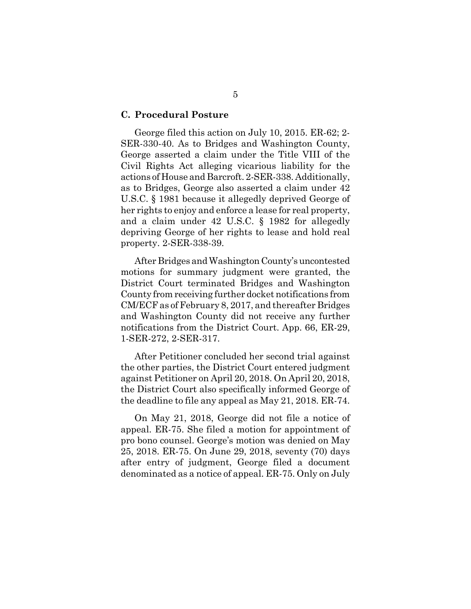#### **C. Procedural Posture**

George filed this action on July 10, 2015. ER-62; 2- SER-330-40. As to Bridges and Washington County, George asserted a claim under the Title VIII of the Civil Rights Act alleging vicarious liability for the actions of House and Barcroft. 2-SER-338. Additionally, as to Bridges, George also asserted a claim under 42 U.S.C. § 1981 because it allegedly deprived George of her rights to enjoy and enforce a lease for real property, and a claim under 42 U.S.C. § 1982 for allegedly depriving George of her rights to lease and hold real property. 2-SER-338-39.

After Bridges and Washington County's uncontested motions for summary judgment were granted, the District Court terminated Bridges and Washington County from receiving further docket notifications from CM/ECF as of February 8, 2017, and thereafter Bridges and Washington County did not receive any further notifications from the District Court. App. 66, ER-29, 1-SER-272, 2-SER-317.

After Petitioner concluded her second trial against the other parties, the District Court entered judgment against Petitioner on April 20, 2018. On April 20, 2018, the District Court also specifically informed George of the deadline to file any appeal as May 21, 2018. ER-74.

On May 21, 2018, George did not file a notice of appeal. ER-75. She filed a motion for appointment of pro bono counsel. George's motion was denied on May 25, 2018. ER-75. On June 29, 2018, seventy (70) days after entry of judgment, George filed a document denominated as a notice of appeal. ER-75. Only on July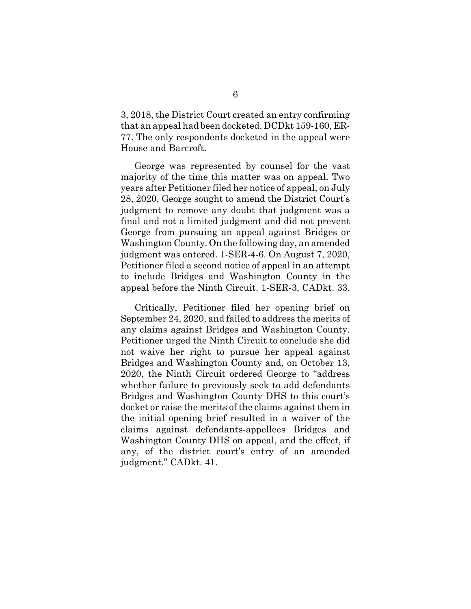3, 2018, the District Court created an entry confirming that an appeal had been docketed. DCDkt 159-160, ER-77. The only respondents docketed in the appeal were House and Barcroft.

George was represented by counsel for the vast majority of the time this matter was on appeal. Two years after Petitioner filed her notice of appeal, on July 28, 2020, George sought to amend the District Court's judgment to remove any doubt that judgment was a final and not a limited judgment and did not prevent George from pursuing an appeal against Bridges or Washington County. On the following day, an amended judgment was entered. 1-SER-4-6. On August 7, 2020, Petitioner filed a second notice of appeal in an attempt to include Bridges and Washington County in the appeal before the Ninth Circuit. 1-SER-3, CADkt. 33.

Critically, Petitioner filed her opening brief on September 24, 2020, and failed to address the merits of any claims against Bridges and Washington County. Petitioner urged the Ninth Circuit to conclude she did not waive her right to pursue her appeal against Bridges and Washington County and, on October 13, 2020, the Ninth Circuit ordered George to "address whether failure to previously seek to add defendants Bridges and Washington County DHS to this court's docket or raise the merits of the claims against them in the initial opening brief resulted in a waiver of the claims against defendants-appellees Bridges and Washington County DHS on appeal, and the effect, if any, of the district court's entry of an amended judgment." CADkt. 41.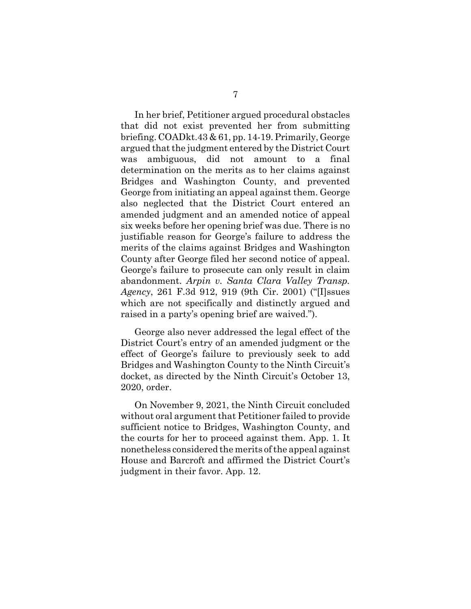In her brief, Petitioner argued procedural obstacles that did not exist prevented her from submitting briefing. COADkt.43 & 61, pp. 14-19. Primarily, George argued that the judgment entered by the District Court was ambiguous, did not amount to a final determination on the merits as to her claims against Bridges and Washington County, and prevented George from initiating an appeal against them. George also neglected that the District Court entered an amended judgment and an amended notice of appeal six weeks before her opening brief was due. There is no justifiable reason for George's failure to address the merits of the claims against Bridges and Washington County after George filed her second notice of appeal. George's failure to prosecute can only result in claim abandonment. *Arpin v. Santa Clara Valley Transp. Agency*, 261 F.3d 912, 919 (9th Cir. 2001) ("[I]ssues which are not specifically and distinctly argued and raised in a party's opening brief are waived.").

George also never addressed the legal effect of the District Court's entry of an amended judgment or the effect of George's failure to previously seek to add Bridges and Washington County to the Ninth Circuit's docket, as directed by the Ninth Circuit's October 13, 2020, order.

On November 9, 2021, the Ninth Circuit concluded without oral argument that Petitioner failed to provide sufficient notice to Bridges, Washington County, and the courts for her to proceed against them. App. 1. It nonetheless considered the merits of the appeal against House and Barcroft and affirmed the District Court's judgment in their favor. App. 12.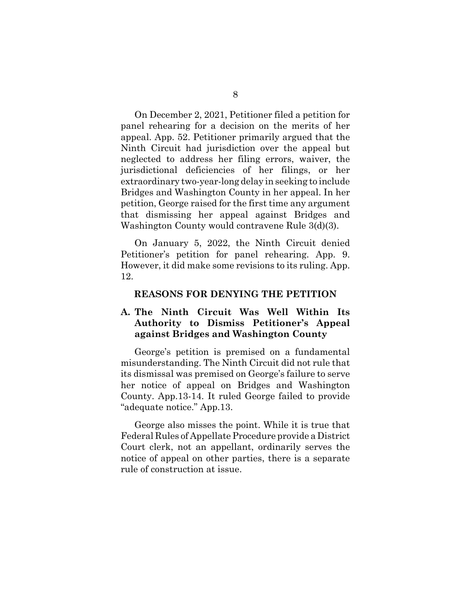On December 2, 2021, Petitioner filed a petition for panel rehearing for a decision on the merits of her appeal. App. 52. Petitioner primarily argued that the Ninth Circuit had jurisdiction over the appeal but neglected to address her filing errors, waiver, the jurisdictional deficiencies of her filings, or her extraordinary two-year-long delay in seeking to include Bridges and Washington County in her appeal. In her petition, George raised for the first time any argument that dismissing her appeal against Bridges and Washington County would contravene Rule 3(d)(3).

On January 5, 2022, the Ninth Circuit denied Petitioner's petition for panel rehearing. App. 9. However, it did make some revisions to its ruling. App. 12.

#### **REASONS FOR DENYING THE PETITION**

# **A. The Ninth Circuit Was Well Within Its Authority to Dismiss Petitioner's Appeal against Bridges and Washington County**

George's petition is premised on a fundamental misunderstanding. The Ninth Circuit did not rule that its dismissal was premised on George's failure to serve her notice of appeal on Bridges and Washington County. App.13-14. It ruled George failed to provide "adequate notice." App.13.

George also misses the point. While it is true that Federal Rules of Appellate Procedure provide a District Court clerk, not an appellant, ordinarily serves the notice of appeal on other parties, there is a separate rule of construction at issue.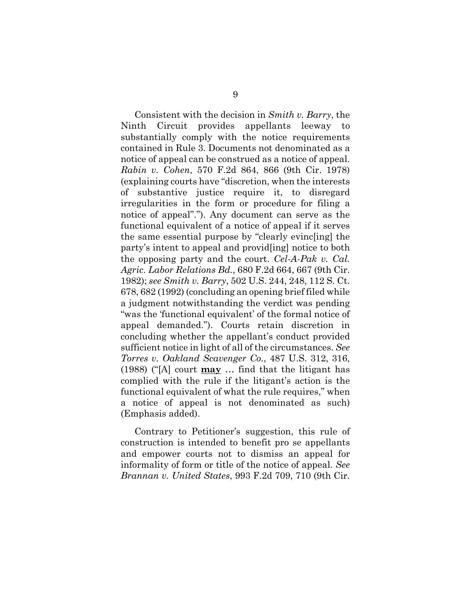Consistent with the decision in *Smith v. Barry*, the Ninth Circuit provides appellants leeway to substantially comply with the notice requirements contained in Rule 3. Documents not denominated as a notice of appeal can be construed as a notice of appeal. *Rabin v. Cohen*, 570 F.2d 864, 866 (9th Cir. 1978) (explaining courts have "discretion, when the interests of substantive justice require it, to disregard irregularities in the form or procedure for filing a notice of appeal"."). Any document can serve as the functional equivalent of a notice of appeal if it serves the same essential purpose by "clearly evinc[ing] the party's intent to appeal and provid[ing] notice to both the opposing party and the court. *Cel-A-Pak v. Cal. Agric. Labor Relations Bd.*, 680 F.2d 664, 667 (9th Cir. 1982); *see Smith v. Barry*, 502 U.S. 244, 248, 112 S. Ct. 678, 682 (1992) (concluding an opening brief filed while a judgment notwithstanding the verdict was pending "was the 'functional equivalent' of the formal notice of appeal demanded."). Courts retain discretion in concluding whether the appellant's conduct provided sufficient notice in light of all of the circumstances. *See Torres v. Oakland Scavenger Co.*, 487 U.S. 312, 316, (1988) ("[A] court **may** … find that the litigant has complied with the rule if the litigant's action is the functional equivalent of what the rule requires," when a notice of appeal is not denominated as such) (Emphasis added).

Contrary to Petitioner's suggestion, this rule of construction is intended to benefit pro se appellants and empower courts not to dismiss an appeal for informality of form or title of the notice of appeal. *See Brannan v. United States*, 993 F.2d 709, 710 (9th Cir.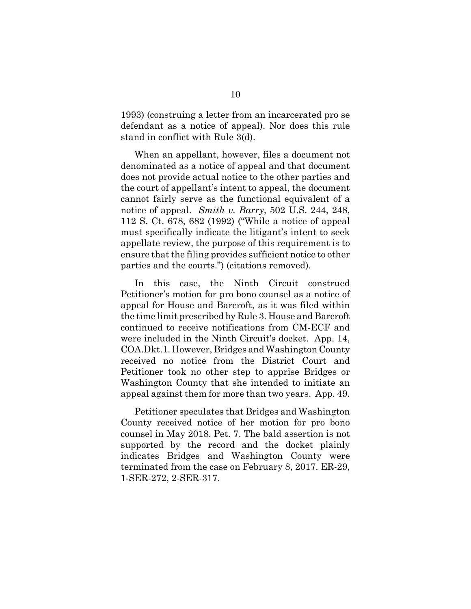1993) (construing a letter from an incarcerated pro se defendant as a notice of appeal). Nor does this rule stand in conflict with Rule 3(d).

When an appellant, however, files a document not denominated as a notice of appeal and that document does not provide actual notice to the other parties and the court of appellant's intent to appeal, the document cannot fairly serve as the functional equivalent of a notice of appeal. *Smith v. Barry*, 502 U.S. 244, 248, 112 S. Ct. 678, 682 (1992) ("While a notice of appeal must specifically indicate the litigant's intent to seek appellate review, the purpose of this requirement is to ensure that the filing provides sufficient notice to other parties and the courts.") (citations removed).

In this case, the Ninth Circuit construed Petitioner's motion for pro bono counsel as a notice of appeal for House and Barcroft, as it was filed within the time limit prescribed by Rule 3. House and Barcroft continued to receive notifications from CM-ECF and were included in the Ninth Circuit's docket. App. 14, COA.Dkt.1. However, Bridges and Washington County received no notice from the District Court and Petitioner took no other step to apprise Bridges or Washington County that she intended to initiate an appeal against them for more than two years. App. 49.

Petitioner speculates that Bridges and Washington County received notice of her motion for pro bono counsel in May 2018. Pet. 7. The bald assertion is not supported by the record and the docket plainly indicates Bridges and Washington County were terminated from the case on February 8, 2017. ER-29, 1-SER-272, 2-SER-317.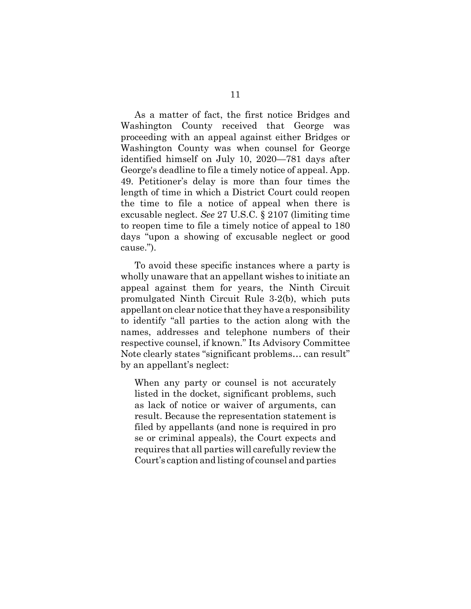As a matter of fact, the first notice Bridges and Washington County received that George was proceeding with an appeal against either Bridges or Washington County was when counsel for George identified himself on July 10, 2020—781 days after George's deadline to file a timely notice of appeal. App. 49. Petitioner's delay is more than four times the length of time in which a District Court could reopen the time to file a notice of appeal when there is excusable neglect. *See* 27 U.S.C. § 2107 (limiting time to reopen time to file a timely notice of appeal to 180 days "upon a showing of excusable neglect or good cause.").

To avoid these specific instances where a party is wholly unaware that an appellant wishes to initiate an appeal against them for years, the Ninth Circuit promulgated Ninth Circuit Rule 3-2(b), which puts appellant on clear notice that they have a responsibility to identify "all parties to the action along with the names, addresses and telephone numbers of their respective counsel, if known." Its Advisory Committee Note clearly states "significant problems… can result" by an appellant's neglect:

When any party or counsel is not accurately listed in the docket, significant problems, such as lack of notice or waiver of arguments, can result. Because the representation statement is filed by appellants (and none is required in pro se or criminal appeals), the Court expects and requires that all parties will carefully review the Court's caption and listing of counsel and parties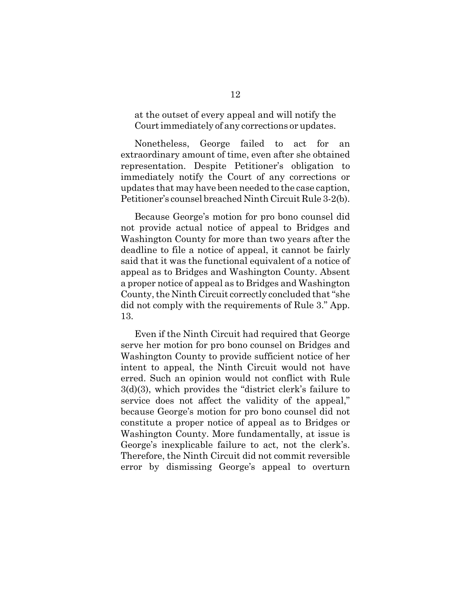at the outset of every appeal and will notify the Court immediately of any corrections or updates.

Nonetheless, George failed to act for an extraordinary amount of time, even after she obtained representation. Despite Petitioner's obligation to immediately notify the Court of any corrections or updates that may have been needed to the case caption, Petitioner's counsel breached Ninth Circuit Rule 3-2(b).

Because George's motion for pro bono counsel did not provide actual notice of appeal to Bridges and Washington County for more than two years after the deadline to file a notice of appeal, it cannot be fairly said that it was the functional equivalent of a notice of appeal as to Bridges and Washington County. Absent a proper notice of appeal as to Bridges and Washington County, the Ninth Circuit correctly concluded that "she did not comply with the requirements of Rule 3." App. 13.

Even if the Ninth Circuit had required that George serve her motion for pro bono counsel on Bridges and Washington County to provide sufficient notice of her intent to appeal, the Ninth Circuit would not have erred. Such an opinion would not conflict with Rule 3(d)(3), which provides the "district clerk's failure to service does not affect the validity of the appeal," because George's motion for pro bono counsel did not constitute a proper notice of appeal as to Bridges or Washington County. More fundamentally, at issue is George's inexplicable failure to act, not the clerk's. Therefore, the Ninth Circuit did not commit reversible error by dismissing George's appeal to overturn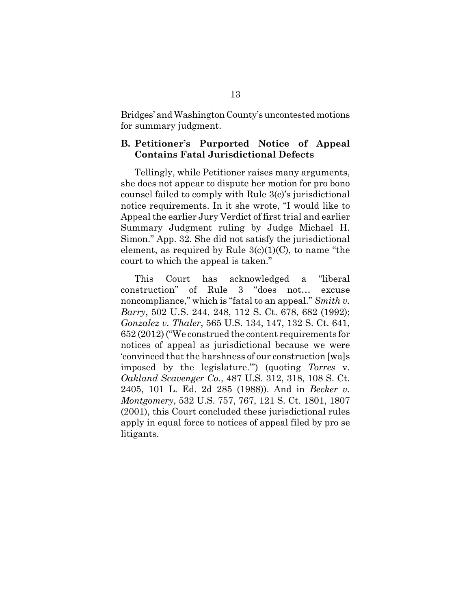Bridges' and Washington County's uncontested motions for summary judgment.

## **B. Petitioner's Purported Notice of Appeal Contains Fatal Jurisdictional Defects**

Tellingly, while Petitioner raises many arguments, she does not appear to dispute her motion for pro bono counsel failed to comply with Rule 3(c)'s jurisdictional notice requirements. In it she wrote, "I would like to Appeal the earlier Jury Verdict of first trial and earlier Summary Judgment ruling by Judge Michael H. Simon." App. 32. She did not satisfy the jurisdictional element, as required by Rule  $3(c)(1)(C)$ , to name "the court to which the appeal is taken."

This Court has acknowledged a "liberal construction" of Rule 3 "does not… excuse noncompliance," which is "fatal to an appeal." *Smith v. Barry*, 502 U.S. 244, 248, 112 S. Ct. 678, 682 (1992); *Gonzalez v. Thaler*, 565 U.S. 134, 147, 132 S. Ct. 641, 652 (2012) ("We construed the content requirements for notices of appeal as jurisdictional because we were 'convinced that the harshness of our construction [wa]s imposed by the legislature.'") (quoting *Torres* v. *Oakland Scavenger Co.*, 487 U.S. 312, 318, 108 S. Ct. 2405, 101 L. Ed. 2d 285 (1988)). And in *Becker v. Montgomery*, 532 U.S. 757, 767, 121 S. Ct. 1801, 1807 (2001), this Court concluded these jurisdictional rules apply in equal force to notices of appeal filed by pro se litigants.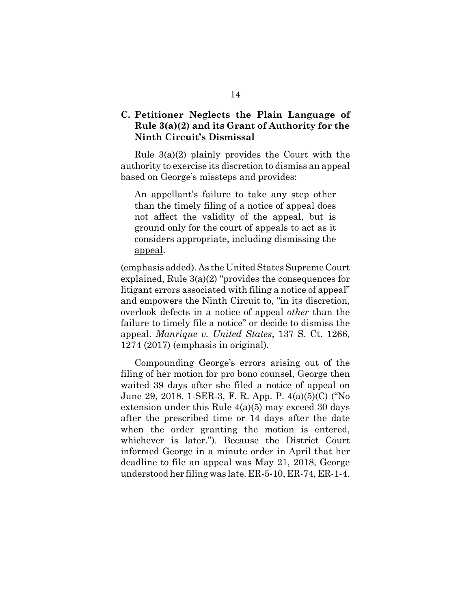# **C. Petitioner Neglects the Plain Language of Rule 3(a)(2) and its Grant of Authority for the Ninth Circuit's Dismissal**

Rule 3(a)(2) plainly provides the Court with the authority to exercise its discretion to dismiss an appeal based on George's missteps and provides:

An appellant's failure to take any step other than the timely filing of a notice of appeal does not affect the validity of the appeal, but is ground only for the court of appeals to act as it considers appropriate, including dismissing the appeal.

(emphasis added). As the United States Supreme Court explained, Rule 3(a)(2) "provides the consequences for litigant errors associated with filing a notice of appeal" and empowers the Ninth Circuit to, "in its discretion, overlook defects in a notice of appeal *other* than the failure to timely file a notice" or decide to dismiss the appeal. *Manrique v. United States*, 137 S. Ct. 1266, 1274 (2017) (emphasis in original).

Compounding George's errors arising out of the filing of her motion for pro bono counsel, George then waited 39 days after she filed a notice of appeal on June 29, 2018. 1-SER-3, F. R. App. P. 4(a)(5)(C) ("No extension under this Rule 4(a)(5) may exceed 30 days after the prescribed time or 14 days after the date when the order granting the motion is entered, whichever is later."). Because the District Court informed George in a minute order in April that her deadline to file an appeal was May 21, 2018, George understood her filing was late. ER-5-10, ER-74, ER-1-4.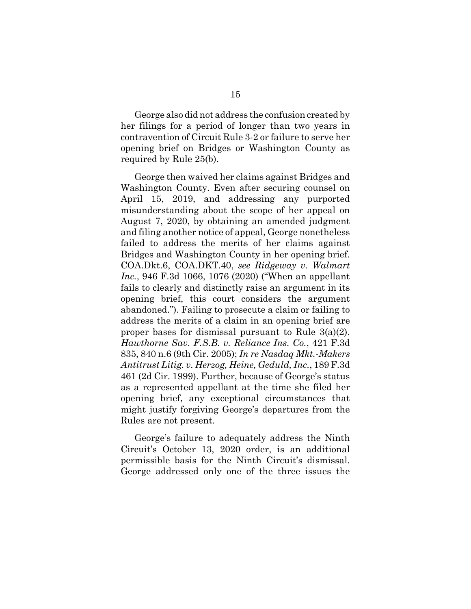George also did not address the confusion created by her filings for a period of longer than two years in contravention of Circuit Rule 3-2 or failure to serve her opening brief on Bridges or Washington County as required by Rule 25(b).

George then waived her claims against Bridges and Washington County. Even after securing counsel on April 15, 2019, and addressing any purported misunderstanding about the scope of her appeal on August 7, 2020, by obtaining an amended judgment and filing another notice of appeal, George nonetheless failed to address the merits of her claims against Bridges and Washington County in her opening brief. COA.Dkt.6, COA.DKT.40, *see Ridgeway v. Walmart Inc.*, 946 F.3d 1066, 1076 (2020) ("When an appellant fails to clearly and distinctly raise an argument in its opening brief, this court considers the argument abandoned."). Failing to prosecute a claim or failing to address the merits of a claim in an opening brief are proper bases for dismissal pursuant to Rule 3(a)(2). *Hawthorne Sav. F.S.B. v. Reliance Ins. Co.*, 421 F.3d 835, 840 n.6 (9th Cir. 2005); *In re Nasdaq Mkt.-Makers Antitrust Litig. v. Herzog, Heine, Geduld, Inc.*, 189 F.3d 461 (2d Cir. 1999). Further, because of George's status as a represented appellant at the time she filed her opening brief, any exceptional circumstances that might justify forgiving George's departures from the Rules are not present.

George's failure to adequately address the Ninth Circuit's October 13, 2020 order, is an additional permissible basis for the Ninth Circuit's dismissal. George addressed only one of the three issues the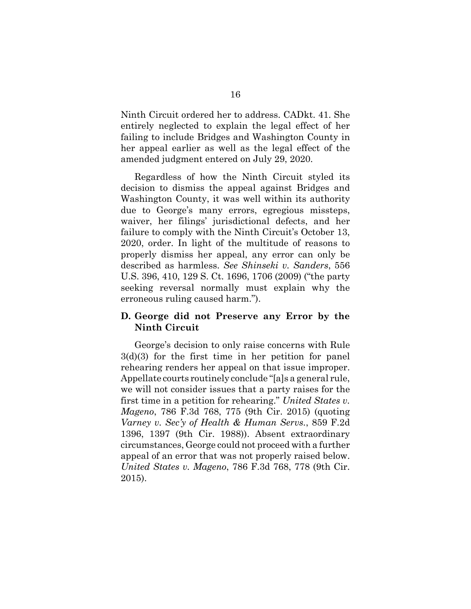Ninth Circuit ordered her to address. CADkt. 41. She entirely neglected to explain the legal effect of her failing to include Bridges and Washington County in her appeal earlier as well as the legal effect of the amended judgment entered on July 29, 2020.

Regardless of how the Ninth Circuit styled its decision to dismiss the appeal against Bridges and Washington County, it was well within its authority due to George's many errors, egregious missteps, waiver, her filings' jurisdictional defects, and her failure to comply with the Ninth Circuit's October 13, 2020, order. In light of the multitude of reasons to properly dismiss her appeal, any error can only be described as harmless. *See Shinseki v. Sanders*, 556 U.S. 396, 410, 129 S. Ct. 1696, 1706 (2009) ("the party seeking reversal normally must explain why the erroneous ruling caused harm.").

### **D. George did not Preserve any Error by the Ninth Circuit**

George's decision to only raise concerns with Rule 3(d)(3) for the first time in her petition for panel rehearing renders her appeal on that issue improper. Appellate courts routinely conclude "[a]s a general rule, we will not consider issues that a party raises for the first time in a petition for rehearing." *United States v. Mageno*, 786 F.3d 768, 775 (9th Cir. 2015) (quoting *Varney v. Sec'y of Health & Human Servs.*, 859 F.2d 1396, 1397 (9th Cir. 1988)). Absent extraordinary circumstances, George could not proceed with a further appeal of an error that was not properly raised below. *United States v. Mageno*, 786 F.3d 768, 778 (9th Cir. 2015).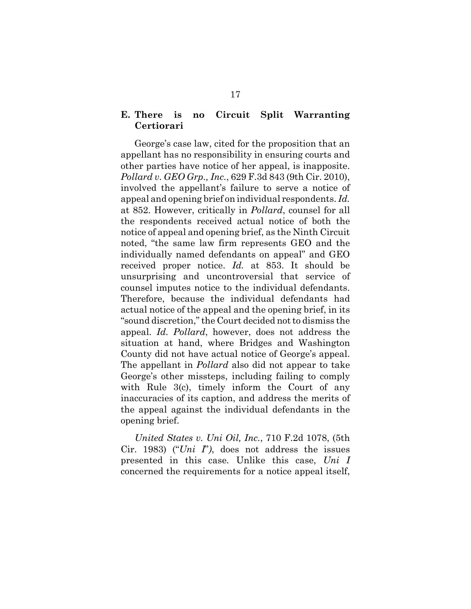# **E. There is no Circuit Split Warranting Certiorari**

George's case law, cited for the proposition that an appellant has no responsibility in ensuring courts and other parties have notice of her appeal, is inapposite. *Pollard v. GEO Grp., Inc.*, 629 F.3d 843 (9th Cir. 2010), involved the appellant's failure to serve a notice of appeal and opening brief on individual respondents. *Id.* at 852. However, critically in *Pollard*, counsel for all the respondents received actual notice of both the notice of appeal and opening brief, as the Ninth Circuit noted, "the same law firm represents GEO and the individually named defendants on appeal" and GEO received proper notice. *Id.* at 853. It should be unsurprising and uncontroversial that service of counsel imputes notice to the individual defendants. Therefore, because the individual defendants had actual notice of the appeal and the opening brief, in its "sound discretion," the Court decided not to dismiss the appeal. *Id. Pollard*, however, does not address the situation at hand, where Bridges and Washington County did not have actual notice of George's appeal. The appellant in *Pollard* also did not appear to take George's other missteps, including failing to comply with Rule 3(c), timely inform the Court of any inaccuracies of its caption, and address the merits of the appeal against the individual defendants in the opening brief.

*United States v. Uni Oil, Inc.*, 710 F.2d 1078, (5th Cir. 1983) ("*Uni I*"*)*, does not address the issues presented in this case*.* Unlike this case, *Uni I* concerned the requirements for a notice appeal itself,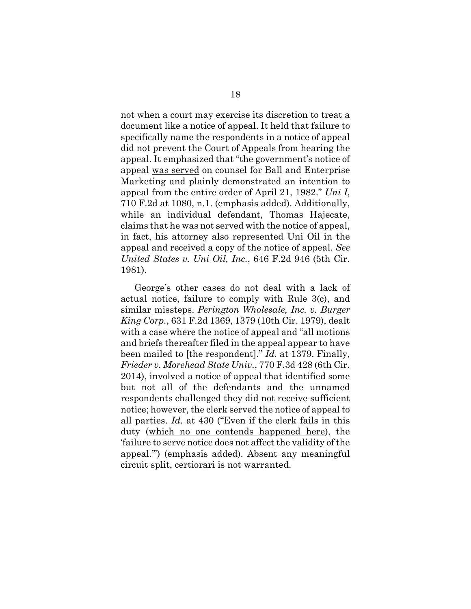not when a court may exercise its discretion to treat a document like a notice of appeal. It held that failure to specifically name the respondents in a notice of appeal did not prevent the Court of Appeals from hearing the appeal. It emphasized that "the government's notice of appeal was served on counsel for Ball and Enterprise Marketing and plainly demonstrated an intention to appeal from the entire order of April 21, 1982." *Uni I*, 710 F.2d at 1080, n.1. (emphasis added). Additionally, while an individual defendant, Thomas Hajecate, claims that he was not served with the notice of appeal, in fact, his attorney also represented Uni Oil in the appeal and received a copy of the notice of appeal. *See United States v. Uni Oil, Inc.*, 646 F.2d 946 (5th Cir. 1981).

George's other cases do not deal with a lack of actual notice, failure to comply with Rule 3(c), and similar missteps. *Perington Wholesale, Inc. v. Burger King Corp.*, 631 F.2d 1369, 1379 (10th Cir. 1979), dealt with a case where the notice of appeal and "all motions and briefs thereafter filed in the appeal appear to have been mailed to [the respondent]." *Id.* at 1379. Finally, *Frieder v. Morehead State Univ.*, 770 F.3d 428 (6th Cir. 2014), involved a notice of appeal that identified some but not all of the defendants and the unnamed respondents challenged they did not receive sufficient notice; however, the clerk served the notice of appeal to all parties. *Id.* at 430 ("Even if the clerk fails in this duty (which no one contends happened here), the 'failure to serve notice does not affect the validity of the appeal.'") (emphasis added). Absent any meaningful circuit split, certiorari is not warranted.